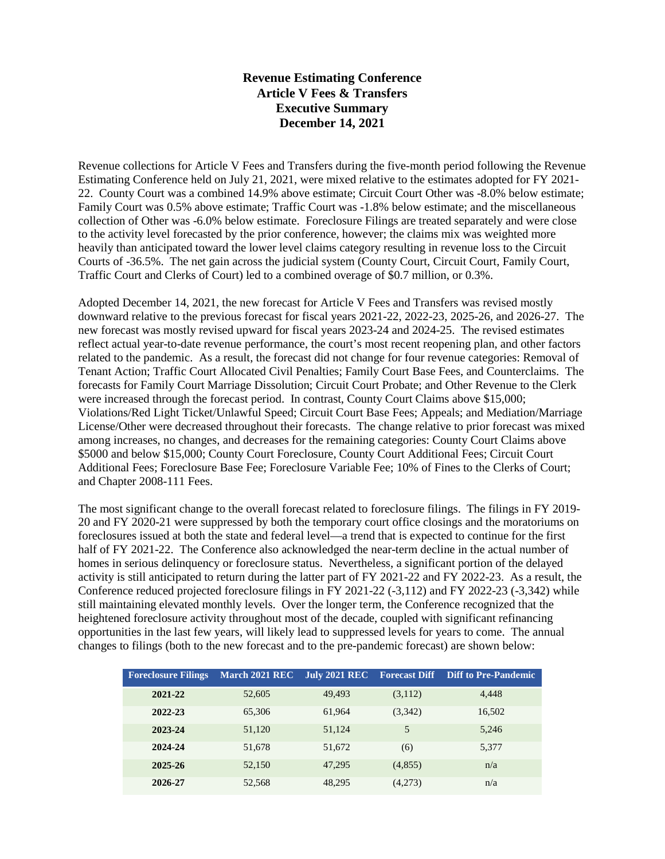## **Revenue Estimating Conference Article V Fees & Transfers Executive Summary December 14, 2021**

Revenue collections for Article V Fees and Transfers during the five-month period following the Revenue Estimating Conference held on July 21, 2021, were mixed relative to the estimates adopted for FY 2021- 22. County Court was a combined 14.9% above estimate; Circuit Court Other was -8.0% below estimate; Family Court was 0.5% above estimate; Traffic Court was -1.8% below estimate; and the miscellaneous collection of Other was -6.0% below estimate. Foreclosure Filings are treated separately and were close to the activity level forecasted by the prior conference, however; the claims mix was weighted more heavily than anticipated toward the lower level claims category resulting in revenue loss to the Circuit Courts of -36.5%. The net gain across the judicial system (County Court, Circuit Court, Family Court, Traffic Court and Clerks of Court) led to a combined overage of \$0.7 million, or 0.3%.

Adopted December 14, 2021, the new forecast for Article V Fees and Transfers was revised mostly downward relative to the previous forecast for fiscal years 2021-22, 2022-23, 2025-26, and 2026-27. The new forecast was mostly revised upward for fiscal years 2023-24 and 2024-25. The revised estimates reflect actual year-to-date revenue performance, the court's most recent reopening plan, and other factors related to the pandemic. As a result, the forecast did not change for four revenue categories: Removal of Tenant Action; Traffic Court Allocated Civil Penalties; Family Court Base Fees, and Counterclaims. The forecasts for Family Court Marriage Dissolution; Circuit Court Probate; and Other Revenue to the Clerk were increased through the forecast period. In contrast, County Court Claims above \$15,000; Violations/Red Light Ticket/Unlawful Speed; Circuit Court Base Fees; Appeals; and Mediation/Marriage License/Other were decreased throughout their forecasts. The change relative to prior forecast was mixed among increases, no changes, and decreases for the remaining categories: County Court Claims above \$5000 and below \$15,000; County Court Foreclosure, County Court Additional Fees; Circuit Court Additional Fees; Foreclosure Base Fee; Foreclosure Variable Fee; 10% of Fines to the Clerks of Court; and Chapter 2008-111 Fees.

The most significant change to the overall forecast related to foreclosure filings. The filings in FY 2019- 20 and FY 2020-21 were suppressed by both the temporary court office closings and the moratoriums on foreclosures issued at both the state and federal level—a trend that is expected to continue for the first half of FY 2021-22. The Conference also acknowledged the near-term decline in the actual number of homes in serious delinquency or foreclosure status. Nevertheless, a significant portion of the delayed activity is still anticipated to return during the latter part of FY 2021-22 and FY 2022-23. As a result, the Conference reduced projected foreclosure filings in FY 2021-22 (-3,112) and FY 2022-23 (-3,342) while still maintaining elevated monthly levels. Over the longer term, the Conference recognized that the heightened foreclosure activity throughout most of the decade, coupled with significant refinancing opportunities in the last few years, will likely lead to suppressed levels for years to come. The annual changes to filings (both to the new forecast and to the pre-pandemic forecast) are shown below:

| <b>Foreclosure Filings</b> | March 2021 REC | <b>July 2021 REC</b> | <b>Forecast Diff</b> | <b>Diff to Pre-Pandemic</b> |
|----------------------------|----------------|----------------------|----------------------|-----------------------------|
| 2021-22                    | 52,605         | 49,493               | (3,112)              | 4.448                       |
| 2022-23                    | 65,306         | 61.964               | (3,342)              | 16,502                      |
| 2023-24                    | 51,120         | 51,124               | 5                    | 5,246                       |
| 2024-24                    | 51,678         | 51,672               | (6)                  | 5,377                       |
| 2025-26                    | 52,150         | 47,295               | (4,855)              | n/a                         |
| 2026-27                    | 52,568         | 48,295               | (4,273)              | n/a                         |